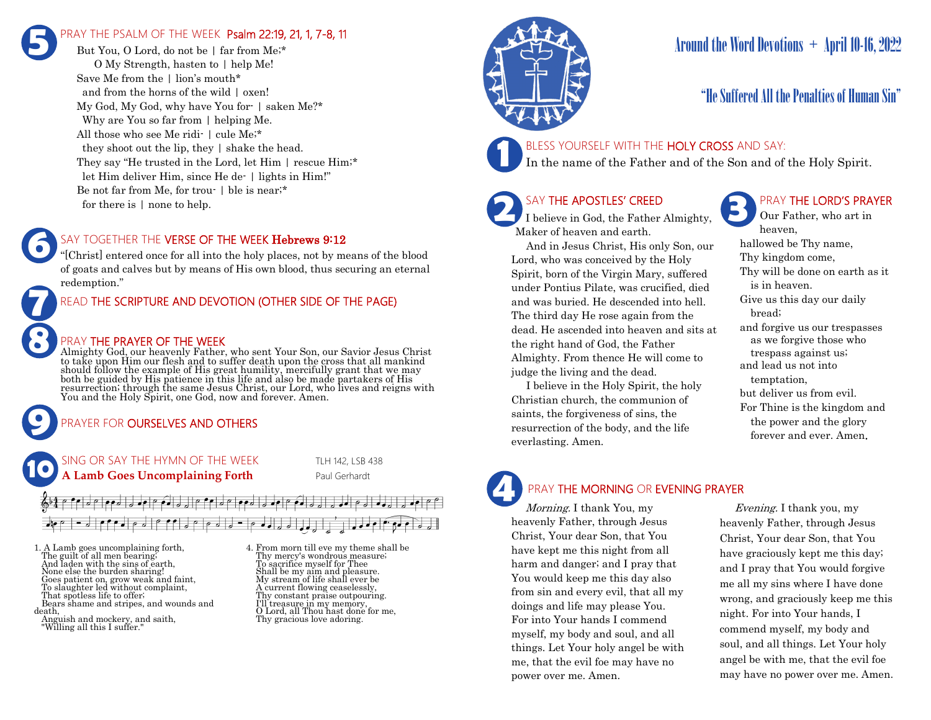### PRAY THE PSALM OF THE WEEK Psalm 22:19, 21, 1, 7-8, 11 **5**

But You, O Lord, do not be | far from Me;\* O My Strength, hasten to | help Me! Save Me from the | lion's mouth\* and from the horns of the wild | oxen! My God, My God, why have You for- | saken Me?\* Why are You so far from | helping Me. All those who see Me ridi- | cule Me;\* they shoot out the lip, they | shake the head. They say "He trusted in the Lord, let Him | rescue Him;\* let Him deliver Him, since He de- | lights in Him!" Be not far from Me, for trou- | ble is near;\* for there is | none to help.

#### SAY TOGETHER THE VERSE OF THE WEEK Hebrews 9:12

"[Christ] entered once for all into the holy places, not by means of the blood of goats and calves but by means of His own blood, thus securing an eternal redemption."

READ THE SCRIPTURE AND DEVOTION (OTHER SIDE OF THE PAGE)

#### PRAY THE PRAYER OF THE WEEK

Almighty God, our heavenly Father, who sent Your Son, our Savior Jesus Christ to take upon Him our flesh and to suffer death upon the cross that all mankind<br>should follow the example of His great humility, mercifully grant that we may<br>both be guided by His patience in this life and also be made part You and the Holy Spirit, one God, now and forever. Amen.

#### PRAYER FOR **OURSELVES AND OTHERS**

SING OR SAY THE HYMN OF THE WEEK TLH 142, LSB 438 **A Lamb Goes Uncomplaining Forth** Paul Gerhardt **10**

 $\Box$ ee  $\sqrt{2}$  or  $\frac{1}{2}$  ,  $\frac{1}{2}$  ,  $\frac{1}{2}$  $- |e^{\rho} e_{\rho}| e_{\rho} |e_{\rho}| |e_{\rho} e_{\rho}| e_{\rho} |e_{\rho}| e_{\rho} |e_{\rho} e_{\rho}| e_{\rho} |e_{\rho}$ 

1. A Lamb goes uncomplaining forth, The guilt of all men bearing; And laden with the sins of earth, None else the burden sharing! Goes patient on, grow weak and faint, To slaughter led without complaint, That spotless life to offer; Bears shame and stripes, and wounds and death,

Anguish and mockery, and saith, "Willing all this I suffer."

**9**

**8**

**7**

**6**

4. From morn till eve my theme shall be Thy mercy's wondrous measure; To sacrifice myself for Thee Shall be my aim and pleasure. My stream of life shall ever be A current flowing ceaselessly, Thy constant praise outpouring. I'll treasure in my memory, O Lord, all Thou hast done for me, Thy gracious love adoring.



# Around the Word Devotions  $+$  April 10-16, 2022

### "He Suffered All the Penalties of Human Sin"

#### BLESS YOURSELF WITH THE HOLY CROSS AND SAY:

In the name of the Father and of the Son and of the Holy Spirit.

# SAY THE APOSTLES' CREED

**2 SAY THE APOSTLES' CREED I** believe in God, the Father Almighty, Maker of heaven and earth.

 And in Jesus Christ, His only Son, our Lord, who was conceived by the Holy Spirit, born of the Virgin Mary, suffered under Pontius Pilate, was crucified, died and was buried. He descended into hell. The third day He rose again from the dead. He ascended into heaven and sits at the right hand of God, the Father Almighty. From thence He will come to judge the living and the dead.

 I believe in the Holy Spirit, the holy Christian church, the communion of saints, the forgiveness of sins, the resurrection of the body, and the life everlasting. Amen.

### PRAY THE LORD'S PRAYER

Our Father, who art in heaven, hallowed be Thy name, Thy kingdom come, Thy will be done on earth as it is in heaven. Give us this day our daily bread; and forgive us our trespasses as we forgive those who trespass against us; and lead us not into temptation, but deliver us from evil. For Thine is the kingdom and the power and the glory forever and ever. Amen.

# PRAY THE MORNING OR EVENING PRAYER

Morning. I thank You, my heavenly Father, through Jesus Christ, Your dear Son, that You have kept me this night from all harm and danger; and I pray that You would keep me this day also from sin and every evil, that all my doings and life may please You. For into Your hands I commend myself, my body and soul, and all things. Let Your holy angel be with me, that the evil foe may have no power over me. Amen. **4**

 Evening. I thank you, my heavenly Father, through Jesus Christ, Your dear Son, that You have graciously kept me this day; and I pray that You would forgive me all my sins where I have done wrong, and graciously keep me this night. For into Your hands, I commend myself, my body and soul, and all things. Let Your holy angel be with me, that the evil foe may have no power over me. Amen.